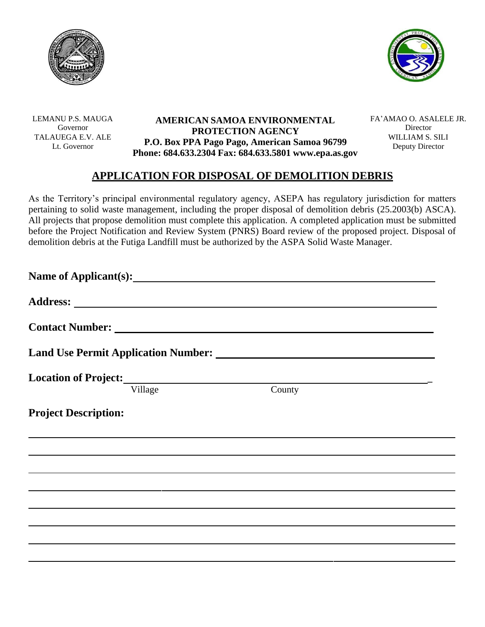



LEMANU P.S. MAUGA Governor TALAUEGA E.V. ALE Lt. Governor

## **AMERICAN SAMOA ENVIRONMENTAL PROTECTION AGENCY P.O. Box PPA Pago Pago, American Samoa 96799 Phone: 684.633.2304 Fax: 684.633.5801 [www.epa.as.gov](http://www.epa.as.gov/)**

FA'AMAO O. ASALELE JR. Director WILLIAM S. SILI Deputy Director

## **APPLICATION FOR DISPOSAL OF DEMOLITION DEBRIS**

As the Territory's principal environmental regulatory agency, ASEPA has regulatory jurisdiction for matters pertaining to solid waste management, including the proper disposal of demolition debris (25.2003(b) ASCA). All projects that propose demolition must complete this application. A completed application must be submitted before the Project Notification and Review System (PNRS) Board review of the proposed project. Disposal of demolition debris at the Futiga Landfill must be authorized by the ASPA Solid Waste Manager.

| Location of Project: New York Street and Street and Street and Street and Street and Street and Street and Street and Street and Street and Street and Street and Street and Street and Street and Street and Street and Stree |        |  |  |
|--------------------------------------------------------------------------------------------------------------------------------------------------------------------------------------------------------------------------------|--------|--|--|
| Village                                                                                                                                                                                                                        | County |  |  |
| <b>Project Description:</b>                                                                                                                                                                                                    |        |  |  |
|                                                                                                                                                                                                                                |        |  |  |
|                                                                                                                                                                                                                                |        |  |  |
|                                                                                                                                                                                                                                |        |  |  |
|                                                                                                                                                                                                                                |        |  |  |
|                                                                                                                                                                                                                                |        |  |  |
|                                                                                                                                                                                                                                |        |  |  |
|                                                                                                                                                                                                                                |        |  |  |
|                                                                                                                                                                                                                                |        |  |  |